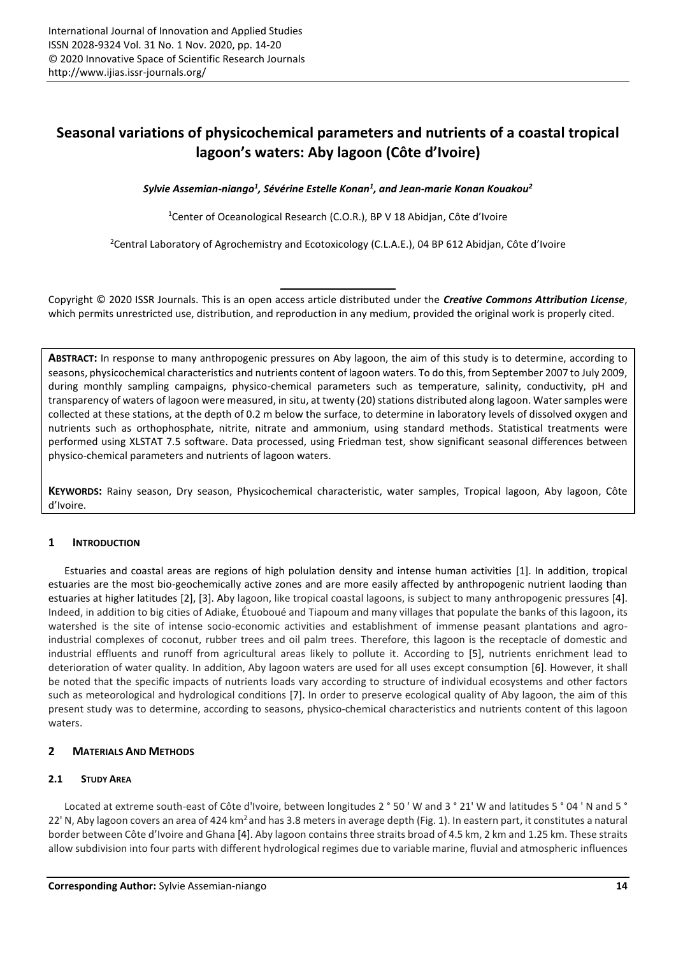# **Seasonal variations of physicochemical parameters and nutrients of a coastal tropical lagoon's waters: Aby lagoon (Côte d'Ivoire)**

*Sylvie Assemian-niango<sup>1</sup> , Sévérine Estelle Konan<sup>1</sup> , and Jean-marie Konan Kouakou<sup>2</sup>*

<sup>1</sup>Center of Oceanological Research (C.O.R.), BP V 18 Abidjan, Côte d'Ivoire

<sup>2</sup>Central Laboratory of Agrochemistry and Ecotoxicology (C.L.A.E.), 04 BP 612 Abidjan, Côte d'Ivoire

Copyright © 2020 ISSR Journals. This is an open access article distributed under the *Creative Commons Attribution License*, which permits unrestricted use, distribution, and reproduction in any medium, provided the original work is properly cited.

**ABSTRACT:** In response to many anthropogenic pressures on Aby lagoon, the aim of this study is to determine, according to seasons, physicochemical characteristics and nutrients content of lagoon waters. To do this, from September 2007 to July 2009, during monthly sampling campaigns, physico-chemical parameters such as temperature, salinity, conductivity, pH and transparency of waters of lagoon were measured, in situ, at twenty (20) stations distributed along lagoon. Water samples were collected at these stations, at the depth of 0.2 m below the surface, to determine in laboratory levels of dissolved oxygen and nutrients such as orthophosphate, nitrite, nitrate and ammonium, using standard methods. Statistical treatments were performed using XLSTAT 7.5 software. Data processed, using Friedman test, show significant seasonal differences between physico-chemical parameters and nutrients of lagoon waters.

**KEYWORDS:** Rainy season, Dry season, Physicochemical characteristic, water samples, Tropical lagoon, Aby lagoon, Côte d'Ivoire.

# **1 INTRODUCTION**

Estuaries and coastal areas are regions of high polulation density and intense human activities [1]. In addition, tropical estuaries are the most bio-geochemically active zones and are more easily affected by anthropogenic nutrient laoding than estuaries at higher latitudes [2], [3]. Aby lagoon, like tropical coastal lagoons, is subject to many anthropogenic pressures [4]. Indeed, in addition to big cities of Adiake, Étuoboué and Tiapoum and many villages that populate the banks of this lagoon, its watershed is the site of intense socio-economic activities and establishment of immense peasant plantations and agroindustrial complexes of coconut, rubber trees and oil palm trees. Therefore, this lagoon is the receptacle of domestic and industrial effluents and runoff from agricultural areas likely to pollute it. According to [5], nutrients enrichment lead to deterioration of water quality. In addition, Aby lagoon waters are used for all uses except consumption [6]. However, it shall be noted that the specific impacts of nutrients loads vary according to structure of individual ecosystems and other factors such as meteorological and hydrological conditions [7]. In order to preserve ecological quality of Aby lagoon, the aim of this present study was to determine, according to seasons, physico-chemical characteristics and nutrients content of this lagoon waters.

# **2 MATERIALS AND METHODS**

# **2.1 STUDY AREA**

Located at extreme south-east of Côte d'Ivoire, between longitudes 2 ° 50 'W and 3 ° 21' W and latitudes 5 ° 04 'N and 5 ° 22' N, Aby lagoon covers an area of 424 km<sup>2</sup> and has 3.8 meters in average depth (Fig. 1). In eastern part, it constitutes a natural border between Côte d'Ivoire and Ghana [4]. Aby lagoon contains three straits broad of 4.5 km, 2 km and 1.25 km. These straits allow subdivision into four parts with different hydrological regimes due to variable marine, fluvial and atmospheric influences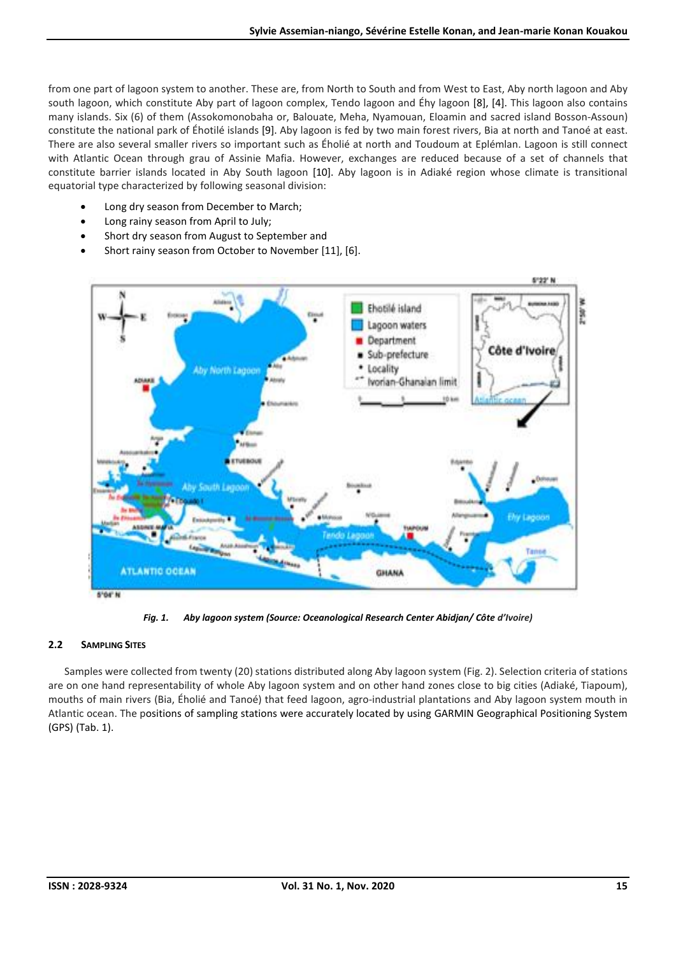from one part of lagoon system to another. These are, from North to South and from West to East, Aby north lagoon and Aby south lagoon, which constitute Aby part of lagoon complex, Tendo lagoon and Éhy lagoon [8], [4]. This lagoon also contains many islands. Six (6) of them (Assokomonobaha or, Balouate, Meha, Nyamouan, Eloamin and sacred island Bosson-Assoun) constitute the national park of Éhotilé islands [9]. Aby lagoon is fed by two main forest rivers, Bia at north and Tanoé at east. There are also several smaller rivers so important such as Éholié at north and Toudoum at Eplémlan. Lagoon is still connect with Atlantic Ocean through grau of Assinie Mafia. However, exchanges are reduced because of a set of channels that constitute barrier islands located in Aby South lagoon [10]. Aby lagoon is in Adiaké region whose climate is transitional equatorial type characterized by following seasonal division:

- Long dry season from December to March;
- Long rainy season from April to July;
- Short dry season from August to September and
- Short rainy season from October to November [11], [6].



*Fig. 1. Aby lagoon system (Source: Oceanological Research Center Abidjan/ Côte d'Ivoire)*

# **2.2 SAMPLING SITES**

Samples were collected from twenty (20) stations distributed along Aby lagoon system (Fig. 2). Selection criteria of stations are on one hand representability of whole Aby lagoon system and on other hand zones close to big cities (Adiaké, Tiapoum), mouths of main rivers (Bia, Éholié and Tanoé) that feed lagoon, agro-industrial plantations and Aby lagoon system mouth in Atlantic ocean. The positions of sampling stations were accurately located by using GARMIN Geographical Positioning System (GPS) (Tab. 1).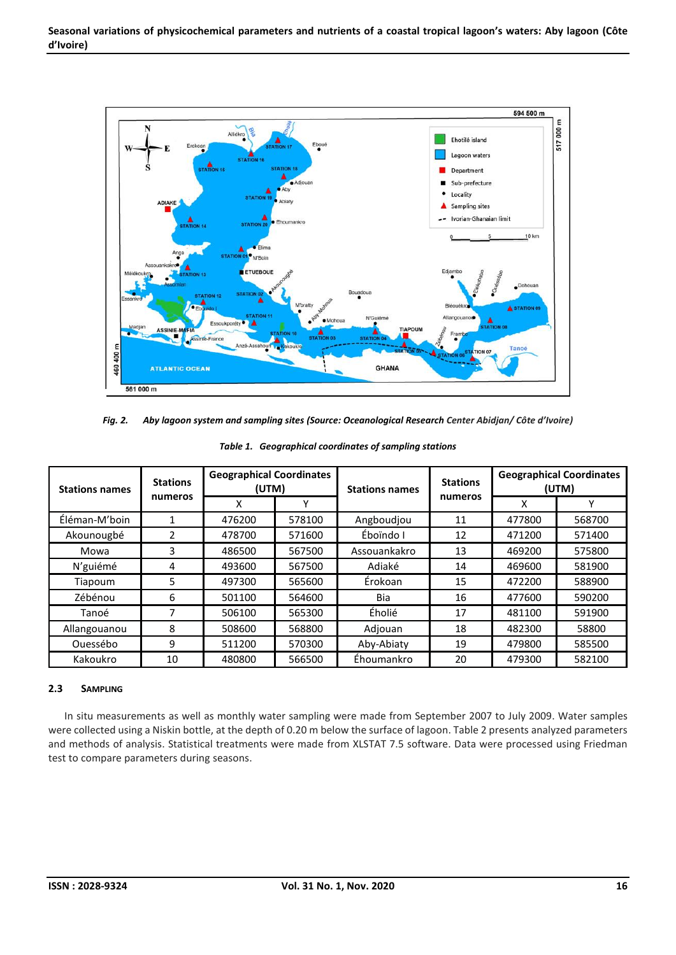

*Fig. 2. Aby lagoon system and sampling sites (Source: Oceanological Research Center Abidjan/ Côte d'Ivoire)*

| <b>Stations names</b> | <b>Stations</b><br>numeros | <b>Geographical Coordinates</b><br>(UTM) |        | <b>Stations names</b> | <b>Stations</b> | <b>Geographical Coordinates</b><br>(UTM) |        |
|-----------------------|----------------------------|------------------------------------------|--------|-----------------------|-----------------|------------------------------------------|--------|
|                       |                            | x                                        |        |                       | numeros         | x                                        |        |
| Éléman-M'boin         |                            | 476200                                   | 578100 | Angboudjou            | 11              | 477800                                   | 568700 |
| Akounougbé            | 2                          | 478700                                   | 571600 | Éboïndo I             | 12              | 471200                                   | 571400 |
| Mowa                  | 3                          | 486500                                   | 567500 | Assouankakro          | 13              | 469200                                   | 575800 |
| N'guiémé              | 4                          | 493600                                   | 567500 | Adiaké                | 14              | 469600                                   | 581900 |
| Tiapoum               | 5.                         | 497300                                   | 565600 | Érokoan               | 15              | 472200                                   | 588900 |
| Zébénou               | 6                          | 501100                                   | 564600 | Bia                   | 16              | 477600                                   | 590200 |
| Tanoé                 | 7                          | 506100                                   | 565300 | Éholié                | 17              | 481100                                   | 591900 |
| Allangouanou          | 8                          | 508600                                   | 568800 | Adjouan               | 18              | 482300                                   | 58800  |
| Ouessébo              | 9                          | 511200                                   | 570300 | Aby-Abiaty            | 19              | 479800                                   | 585500 |
| Kakoukro              | 10                         | 480800                                   | 566500 | Éhoumankro            | 20              | 479300                                   | 582100 |

*Table 1. Geographical coordinates of sampling stations*

## **2.3 SAMPLING**

In situ measurements as well as monthly water sampling were made from September 2007 to July 2009. Water samples were collected using a Niskin bottle, at the depth of 0.20 m below the surface of lagoon. Table 2 presents analyzed parameters and methods of analysis. Statistical treatments were made from XLSTAT 7.5 software. Data were processed using Friedman test to compare parameters during seasons.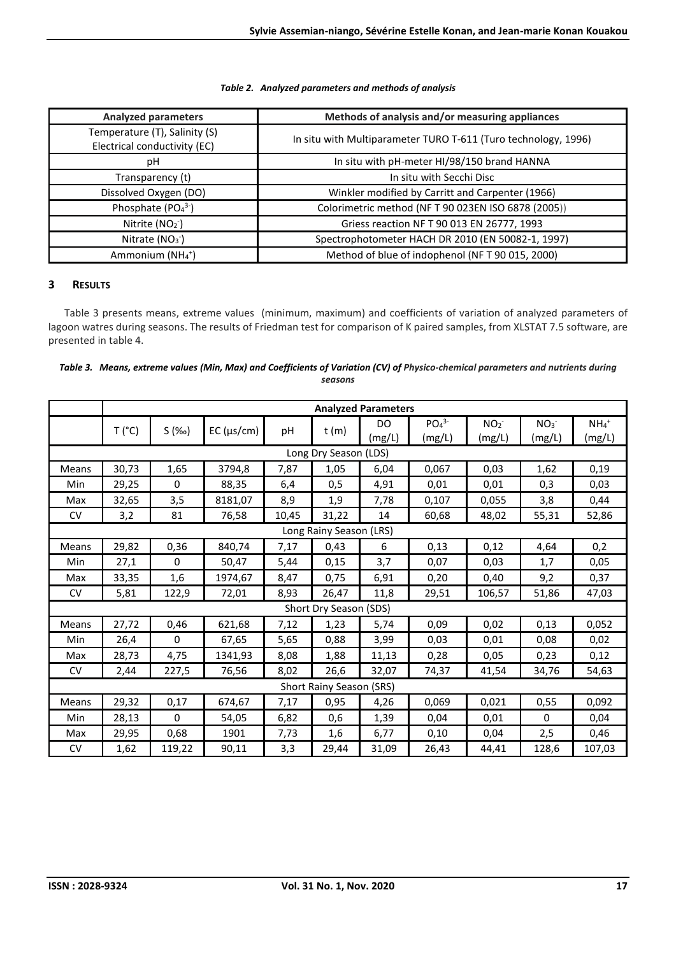## *Table 2. Analyzed parameters and methods of analysis*

| <b>Analyzed parameters</b>                                    | Methods of analysis and/or measuring appliances                |  |  |  |
|---------------------------------------------------------------|----------------------------------------------------------------|--|--|--|
| Temperature (T), Salinity (S)<br>Electrical conductivity (EC) | In situ with Multiparameter TURO T-611 (Turo technology, 1996) |  |  |  |
| рH                                                            | In situ with pH-meter HI/98/150 brand HANNA                    |  |  |  |
| Transparency (t)                                              | In situ with Secchi Disc                                       |  |  |  |
| Dissolved Oxygen (DO)                                         | Winkler modified by Carritt and Carpenter (1966)               |  |  |  |
| Phosphate $(PO43-)$                                           | Colorimetric method (NFT 90 023EN ISO 6878 (2005))             |  |  |  |
| Nitrite $(NO2)$                                               | Griess reaction NF T 90 013 EN 26777, 1993                     |  |  |  |
| Nitrate $(NO3)$                                               | Spectrophotometer HACH DR 2010 (EN 50082-1, 1997)              |  |  |  |
| Ammonium ( $NH4$ <sup>+</sup> )                               | Method of blue of indophenol (NFT 90 015, 2000)                |  |  |  |

# **3 RESULTS**

Table 3 presents means, extreme values (minimum, maximum) and coefficients of variation of analyzed parameters of lagoon watres during seasons. The results of Friedman test for comparison of K paired samples, from XLSTAT 7.5 software, are presented in table 4.

| Table 3. Means, extreme values (Min, Max) and Coefficients of Variation (CV) of Physico-chemical parameters and nutrients during |
|----------------------------------------------------------------------------------------------------------------------------------|
| seasons                                                                                                                          |

|                          | <b>Analyzed Parameters</b> |                     |                     |       |       |               |                                        |                           |                           |                               |
|--------------------------|----------------------------|---------------------|---------------------|-------|-------|---------------|----------------------------------------|---------------------------|---------------------------|-------------------------------|
|                          | T('C)                      | S( % <sub>o</sub> ) | $EC$ ( $\mu s/cm$ ) | pH    | t(m)  | DO.<br>(mg/L) | PO <sub>4</sub> <sup>3</sup><br>(mg/L) | NO <sub>2</sub><br>(mg/L) | NO <sub>3</sub><br>(mg/L) | $NH_4$ <sup>+</sup><br>(mg/L) |
|                          | Long Dry Season (LDS)      |                     |                     |       |       |               |                                        |                           |                           |                               |
| Means                    | 30,73                      | 1,65                | 3794,8              | 7,87  | 1,05  | 6,04          | 0,067                                  | 0,03                      | 1,62                      | 0,19                          |
| Min                      | 29,25                      | 0                   | 88,35               | 6,4   | 0,5   | 4,91          | 0,01                                   | 0,01                      | 0,3                       | 0,03                          |
| Max                      | 32,65                      | 3,5                 | 8181,07             | 8,9   | 1,9   | 7,78          | 0,107                                  | 0,055                     | 3,8                       | 0,44                          |
| <b>CV</b>                | 3,2                        | 81                  | 76,58               | 10,45 | 31,22 | 14            | 60,68                                  | 48,02                     | 55,31                     | 52,86                         |
| Long Rainy Season (LRS)  |                            |                     |                     |       |       |               |                                        |                           |                           |                               |
| Means                    | 29,82                      | 0,36                | 840,74              | 7,17  | 0,43  | 6             | 0,13                                   | 0,12                      | 4,64                      | 0,2                           |
| Min                      | 27,1                       | 0                   | 50,47               | 5,44  | 0,15  | 3,7           | 0,07                                   | 0,03                      | 1,7                       | 0,05                          |
| Max                      | 33,35                      | 1,6                 | 1974,67             | 8,47  | 0,75  | 6,91          | 0,20                                   | 0,40                      | 9,2                       | 0,37                          |
| <b>CV</b>                | 5,81                       | 122,9               | 72,01               | 8,93  | 26,47 | 11,8          | 29,51                                  | 106,57                    | 51,86                     | 47,03                         |
|                          | Short Dry Season (SDS)     |                     |                     |       |       |               |                                        |                           |                           |                               |
| Means                    | 27,72                      | 0,46                | 621,68              | 7,12  | 1,23  | 5,74          | 0,09                                   | 0,02                      | 0,13                      | 0,052                         |
| Min                      | 26,4                       | 0                   | 67,65               | 5,65  | 0,88  | 3,99          | 0,03                                   | 0,01                      | 0,08                      | 0,02                          |
| Max                      | 28,73                      | 4,75                | 1341,93             | 8,08  | 1,88  | 11,13         | 0,28                                   | 0,05                      | 0,23                      | 0,12                          |
| <b>CV</b>                | 2,44                       | 227,5               | 76,56               | 8,02  | 26,6  | 32,07         | 74,37                                  | 41,54                     | 34,76                     | 54,63                         |
| Short Rainy Season (SRS) |                            |                     |                     |       |       |               |                                        |                           |                           |                               |
| Means                    | 29,32                      | 0,17                | 674,67              | 7,17  | 0,95  | 4,26          | 0,069                                  | 0,021                     | 0,55                      | 0,092                         |
| Min                      | 28,13                      | $\Omega$            | 54,05               | 6,82  | 0,6   | 1,39          | 0,04                                   | 0,01                      | $\mathbf{0}$              | 0,04                          |
| Max                      | 29,95                      | 0,68                | 1901                | 7,73  | 1,6   | 6,77          | 0,10                                   | 0,04                      | 2,5                       | 0,46                          |
| <b>CV</b>                | 1,62                       | 119,22              | 90,11               | 3,3   | 29,44 | 31,09         | 26,43                                  | 44,41                     | 128,6                     | 107,03                        |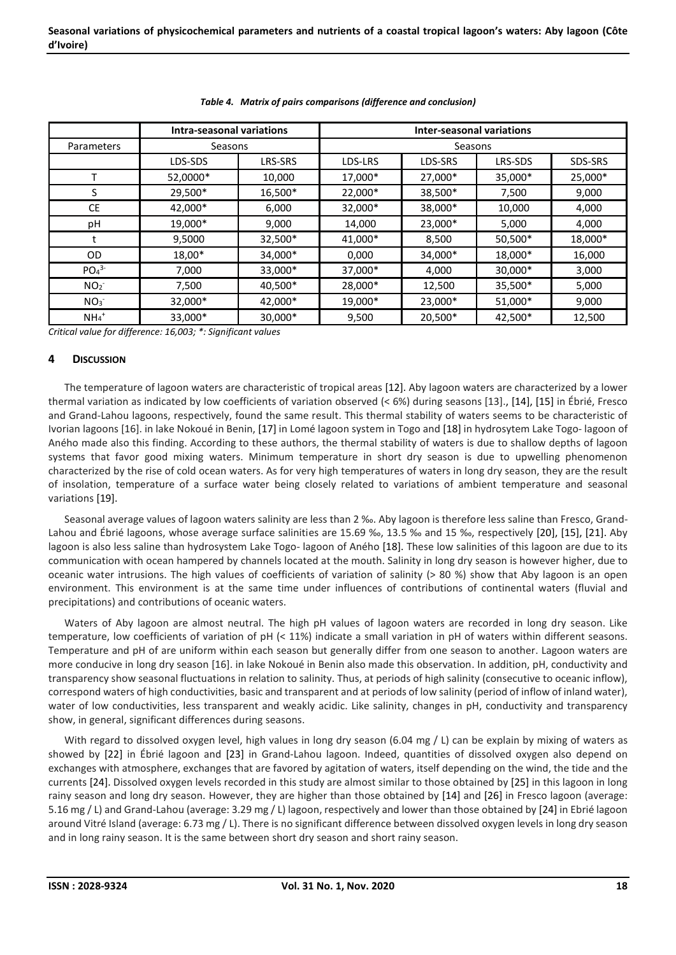|                              | Intra-seasonal variations |                | <b>Inter-seasonal variations</b> |         |         |         |  |
|------------------------------|---------------------------|----------------|----------------------------------|---------|---------|---------|--|
| Parameters                   | Seasons                   |                | Seasons                          |         |         |         |  |
|                              | LDS-SDS                   | <b>LRS-SRS</b> | LDS-LRS                          | LDS-SRS | LRS-SDS | SDS-SRS |  |
|                              | 52,0000*                  | 10,000         | 17,000*                          | 27,000* | 35,000* | 25,000* |  |
| S                            | 29,500*                   | 16,500*        | 22,000*                          | 38,500* | 7,500   | 9,000   |  |
| <b>CE</b>                    | 42,000*                   | 6,000          | 32,000*                          | 38,000* | 10,000  | 4,000   |  |
| pH                           | 19,000*                   | 9,000          | 14,000                           | 23,000* | 5,000   | 4,000   |  |
|                              | 9,5000                    | 32,500*        | 41,000*                          | 8,500   | 50,500* | 18,000* |  |
| <b>OD</b>                    | 18,00*                    | 34,000*        | 0,000                            | 34,000* | 18,000* | 16,000  |  |
| PO <sub>4</sub> <sup>3</sup> | 7,000                     | 33,000*        | 37,000*                          | 4,000   | 30,000* | 3,000   |  |
| NO <sub>2</sub>              | 7,500                     | 40,500*        | 28,000*                          | 12,500  | 35,500* | 5,000   |  |
| NO <sub>3</sub>              | 32,000*                   | 42,000*        | 19,000*                          | 23,000* | 51,000* | 9,000   |  |
| $NH4+$                       | 33,000*                   | 30,000*        | 9,500                            | 20,500* | 42,500* | 12,500  |  |

## *Table 4. Matrix of pairs comparisons (difference and conclusion)*

*Critical value for difference: 16,003; \*: Significant values*

## **4 DISCUSSION**

The temperature of lagoon waters are characteristic of tropical areas [12]. Aby lagoon waters are characterized by a lower thermal variation as indicated by low coefficients of variation observed (˂ 6%) during seasons [13]., [14], [15] in Ébrié, Fresco and Grand-Lahou lagoons, respectively, found the same result. This thermal stability of waters seems to be characteristic of Ivorian lagoons [16]. in lake Nokoué in Benin, [17] in Lomé lagoon system in Togo and [18] in hydrosytem Lake Togo- lagoon of Aného made also this finding. According to these authors, the thermal stability of waters is due to shallow depths of lagoon systems that favor good mixing waters. Minimum temperature in short dry season is due to upwelling phenomenon characterized by the rise of cold ocean waters. As for very high temperatures of waters in long dry season, they are the result of insolation, temperature of a surface water being closely related to variations of ambient temperature and seasonal variations [19].

Seasonal average values of lagoon waters salinity are less than 2 ‰. Aby lagoon is therefore less saline than Fresco, Grand-Lahou and Ébrié lagoons, whose average surface salinities are 15.69 ‰, 13.5 ‰ and 15 ‰, respectively [20], [15], [21]. Aby lagoon is also less saline than hydrosystem Lake Togo- lagoon of Aného [18]. These low salinities of this lagoon are due to its communication with ocean hampered by channels located at the mouth. Salinity in long dry season is however higher, due to oceanic water intrusions. The high values of coefficients of variation of salinity (> 80 %) show that Aby lagoon is an open environment. This environment is at the same time under influences of contributions of continental waters (fluvial and precipitations) and contributions of oceanic waters.

Waters of Aby lagoon are almost neutral. The high pH values of lagoon waters are recorded in long dry season. Like temperature, low coefficients of variation of pH (˂ 11%) indicate a small variation in pH of waters within different seasons. Temperature and pH of are uniform within each season but generally differ from one season to another. Lagoon waters are more conducive in long dry season [16]. in lake Nokoué in Benin also made this observation. In addition, pH, conductivity and transparency show seasonal fluctuations in relation to salinity. Thus, at periods of high salinity (consecutive to oceanic inflow), correspond waters of high conductivities, basic and transparent and at periods of low salinity (period of inflow of inland water), water of low conductivities, less transparent and weakly acidic. Like salinity, changes in pH, conductivity and transparency show, in general, significant differences during seasons.

With regard to dissolved oxygen level, high values in long dry season (6.04 mg / L) can be explain by mixing of waters as showed by [22] in Ébrié lagoon and [23] in Grand-Lahou lagoon. Indeed, quantities of dissolved oxygen also depend on exchanges with atmosphere, exchanges that are favored by agitation of waters, itself depending on the wind, the tide and the currents [24]. Dissolved oxygen levels recorded in this study are almost similar to those obtained by [25] in this lagoon in long rainy season and long dry season. However, they are higher than those obtained by [14] and [26] in Fresco lagoon (average: 5.16 mg / L) and Grand-Lahou (average: 3.29 mg / L) lagoon, respectively and lower than those obtained by [24] in Ebrié lagoon around Vitré Island (average: 6.73 mg / L). There is no significant difference between dissolved oxygen levels in long dry season and in long rainy season. It is the same between short dry season and short rainy season.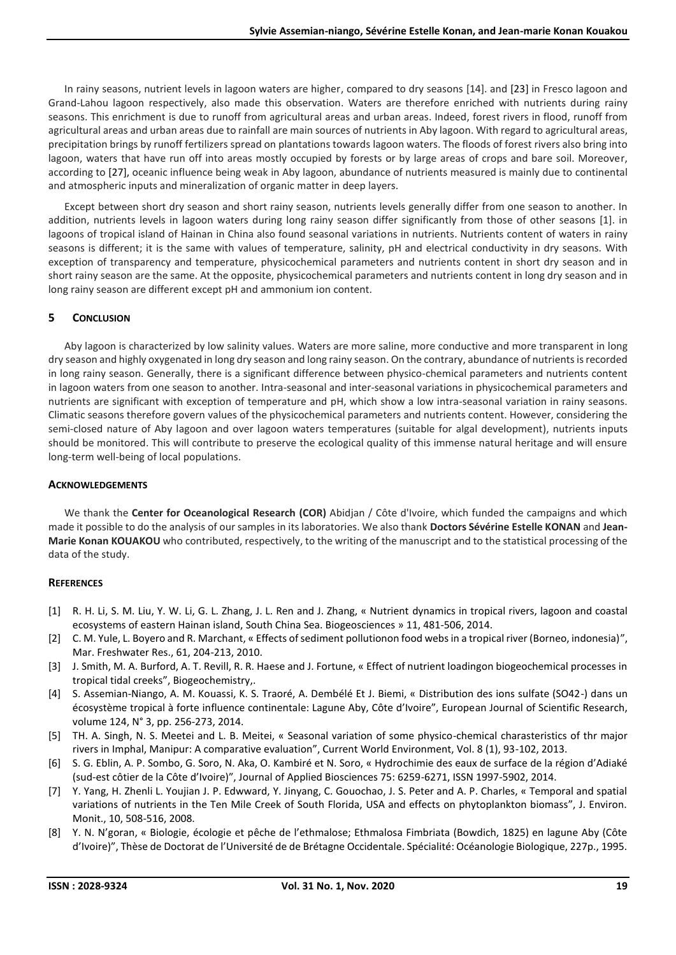In rainy seasons, nutrient levels in lagoon waters are higher, compared to dry seasons [14]. and [23] in Fresco lagoon and Grand-Lahou lagoon respectively, also made this observation. Waters are therefore enriched with nutrients during rainy seasons. This enrichment is due to runoff from agricultural areas and urban areas. Indeed, forest rivers in flood, runoff from agricultural areas and urban areas due to rainfall are main sources of nutrients in Aby lagoon. With regard to agricultural areas, precipitation brings by runoff fertilizers spread on plantations towards lagoon waters. The floods of forest rivers also bring into lagoon, waters that have run off into areas mostly occupied by forests or by large areas of crops and bare soil. Moreover, according to [27], oceanic influence being weak in Aby lagoon, abundance of nutrients measured is mainly due to continental and atmospheric inputs and mineralization of organic matter in deep layers.

Except between short dry season and short rainy season, nutrients levels generally differ from one season to another. In addition, nutrients levels in lagoon waters during long rainy season differ significantly from those of other seasons [1]. in lagoons of tropical island of Hainan in China also found seasonal variations in nutrients. Nutrients content of waters in rainy seasons is different; it is the same with values of temperature, salinity, pH and electrical conductivity in dry seasons. With exception of transparency and temperature, physicochemical parameters and nutrients content in short dry season and in short rainy season are the same. At the opposite, physicochemical parameters and nutrients content in long dry season and in long rainy season are different except pH and ammonium ion content.

# **5 CONCLUSION**

Aby lagoon is characterized by low salinity values. Waters are more saline, more conductive and more transparent in long dry season and highly oxygenated in long dry season and long rainy season. On the contrary, abundance of nutrients is recorded in long rainy season. Generally, there is a significant difference between physico-chemical parameters and nutrients content in lagoon waters from one season to another. Intra-seasonal and inter-seasonal variations in physicochemical parameters and nutrients are significant with exception of temperature and pH, which show a low intra-seasonal variation in rainy seasons. Climatic seasons therefore govern values of the physicochemical parameters and nutrients content. However, considering the semi-closed nature of Aby lagoon and over lagoon waters temperatures (suitable for algal development), nutrients inputs should be monitored. This will contribute to preserve the ecological quality of this immense natural heritage and will ensure long-term well-being of local populations.

## **ACKNOWLEDGEMENTS**

We thank the **Center for Oceanological Research (COR)** Abidjan / Côte d'Ivoire, which funded the campaigns and which made it possible to do the analysis of our samples in its laboratories. We also thank **Doctors Sévérine Estelle KONAN** and **Jean-Marie Konan KOUAKOU** who contributed, respectively, to the writing of the manuscript and to the statistical processing of the data of the study.

## **REFERENCES**

- [1] R. H. Li, S. M. Liu, Y. W. Li, G. L. Zhang, J. L. Ren and J. Zhang, « Nutrient dynamics in tropical rivers, lagoon and coastal ecosystems of eastern Hainan island, South China Sea. Biogeosciences » 11, 481-506, 2014.
- [2] C. M. Yule, L. Boyero and R. Marchant, « Effects of sediment pollutionon food webs in a tropical river (Borneo, indonesia)", Mar. Freshwater Res., 61, 204-213, 2010.
- [3] J. Smith, M. A. Burford, A. T. Revill, R. R. Haese and J. Fortune, « Effect of nutrient loadingon biogeochemical processes in tropical tidal creeks", Biogeochemistry,.
- [4] S. Assemian-Niango, A. M. Kouassi, K. S. Traoré, A. Dembélé Et J. Biemi, « Distribution des ions sulfate (SO42-) dans un écosystème tropical à forte influence continentale: Lagune Aby, Côte d'Ivoire", European Journal of Scientific Research, volume 124, N° 3, pp. 256-273, 2014.
- [5] TH. A. Singh, N. S. Meetei and L. B. Meitei, « Seasonal variation of some physico-chemical charasteristics of thr major rivers in Imphal, Manipur: A comparative evaluation", Current World Environment, Vol. 8 (1), 93-102, 2013.
- [6] S. G. Eblin, A. P. Sombo, G. Soro, N. Aka, O. Kambiré et N. Soro, « Hydrochimie des eaux de surface de la région d'Adiaké (sud-est côtier de la Côte d'Ivoire)", Journal of Applied Biosciences 75: 6259-6271, ISSN 1997-5902, 2014.
- [7] Y. Yang, H. Zhenli L. Youjian J. P. Edwward, Y. Jinyang, C. Gouochao, J. S. Peter and A. P. Charles, « Temporal and spatial variations of nutrients in the Ten Mile Creek of South Florida, USA and effects on phytoplankton biomass", J. Environ. Monit., 10, 508-516, 2008.
- [8] Y. N. N'goran, « Biologie, écologie et pêche de l'ethmalose; Ethmalosa Fimbriata (Bowdich, 1825) en lagune Aby (Côte d'Ivoire)", Thèse de Doctorat de l'Université de de Brétagne Occidentale. Spécialité: Océanologie Biologique, 227p., 1995.